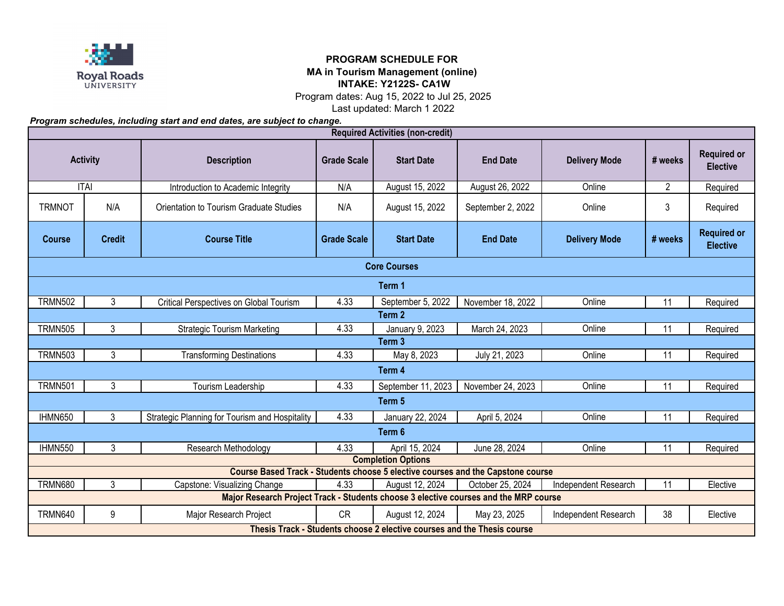

## **PROGRAM SCHEDULE FOR MA in Tourism Management (online) INTAKE: Y2122S- CA1W**

Program dates: Aug 15, 2022 to Jul 25, 2025

Last updated: March 1 2022

*Program schedules, including start and end dates, are subject to change.*

| <b>Required Activities (non-credit)</b> |                                                                         |                                                                                      |                    |                    |                   |                      |                |                                       |  |  |  |  |
|-----------------------------------------|-------------------------------------------------------------------------|--------------------------------------------------------------------------------------|--------------------|--------------------|-------------------|----------------------|----------------|---------------------------------------|--|--|--|--|
| <b>Activity</b>                         |                                                                         | <b>Description</b>                                                                   | <b>Grade Scale</b> | <b>Start Date</b>  | <b>End Date</b>   | <b>Delivery Mode</b> | # weeks        | <b>Required or</b><br><b>Elective</b> |  |  |  |  |
| <b>ITAI</b>                             |                                                                         | Introduction to Academic Integrity                                                   | N/A                | August 15, 2022    | August 26, 2022   | Online               | $\overline{2}$ | Required                              |  |  |  |  |
| <b>TRMNOT</b>                           | N/A                                                                     | Orientation to Tourism Graduate Studies                                              | N/A                | August 15, 2022    | September 2, 2022 | Online               | 3              | Required                              |  |  |  |  |
| <b>Course</b>                           | <b>Credit</b>                                                           | <b>Course Title</b>                                                                  | <b>Grade Scale</b> | <b>Start Date</b>  | <b>End Date</b>   | <b>Delivery Mode</b> | # weeks        | <b>Required or</b><br><b>Elective</b> |  |  |  |  |
| <b>Core Courses</b>                     |                                                                         |                                                                                      |                    |                    |                   |                      |                |                                       |  |  |  |  |
| Term 1                                  |                                                                         |                                                                                      |                    |                    |                   |                      |                |                                       |  |  |  |  |
| <b>TRMN502</b>                          | 3                                                                       | Critical Perspectives on Global Tourism                                              | 4.33               | September 5, 2022  | November 18, 2022 | Online               | 11             | Required                              |  |  |  |  |
| Term 2                                  |                                                                         |                                                                                      |                    |                    |                   |                      |                |                                       |  |  |  |  |
| <b>TRMN505</b>                          | 3                                                                       | <b>Strategic Tourism Marketing</b>                                                   | 4.33               | January 9, 2023    | March 24, 2023    | Online               | 11             | Required                              |  |  |  |  |
|                                         |                                                                         |                                                                                      |                    | Term 3             |                   |                      |                |                                       |  |  |  |  |
| <b>TRMN503</b>                          | 3                                                                       | <b>Transforming Destinations</b>                                                     | 4.33               | May 8, 2023        | July 21, 2023     | Online               | 11             | Required                              |  |  |  |  |
|                                         |                                                                         |                                                                                      |                    | Term 4             |                   |                      |                |                                       |  |  |  |  |
| <b>TRMN501</b>                          | $\mathbf{3}$                                                            | Tourism Leadership                                                                   | 4.33               | September 11, 2023 | November 24, 2023 | Online               | 11             | Required                              |  |  |  |  |
| Term 5                                  |                                                                         |                                                                                      |                    |                    |                   |                      |                |                                       |  |  |  |  |
| IHMN650                                 | $\mathbf{3}$                                                            | Strategic Planning for Tourism and Hospitality                                       | 4.33               | January 22, 2024   | April 5, 2024     | Online               | 11             | Required                              |  |  |  |  |
|                                         |                                                                         |                                                                                      |                    | Term 6             |                   |                      |                |                                       |  |  |  |  |
| IHMN550                                 | 3                                                                       | Research Methodology                                                                 | 4.33               | April 15, 2024     | June 28, 2024     | Online               | 11             | Required                              |  |  |  |  |
| <b>Completion Options</b>               |                                                                         |                                                                                      |                    |                    |                   |                      |                |                                       |  |  |  |  |
|                                         |                                                                         | Course Based Track - Students choose 5 elective courses and the Capstone course      |                    |                    |                   |                      |                |                                       |  |  |  |  |
| <b>TRMN680</b>                          | 3                                                                       | Capstone: Visualizing Change                                                         | 4.33               | August 12, 2024    | October 25, 2024  | Independent Research | 11             | Elective                              |  |  |  |  |
|                                         |                                                                         | Major Research Project Track - Students choose 3 elective courses and the MRP course |                    |                    |                   |                      |                |                                       |  |  |  |  |
| <b>TRMN640</b>                          | 9                                                                       | Major Research Project                                                               | <b>CR</b>          | August 12, 2024    | May 23, 2025      | Independent Research | 38             | Elective                              |  |  |  |  |
|                                         | Thesis Track - Students choose 2 elective courses and the Thesis course |                                                                                      |                    |                    |                   |                      |                |                                       |  |  |  |  |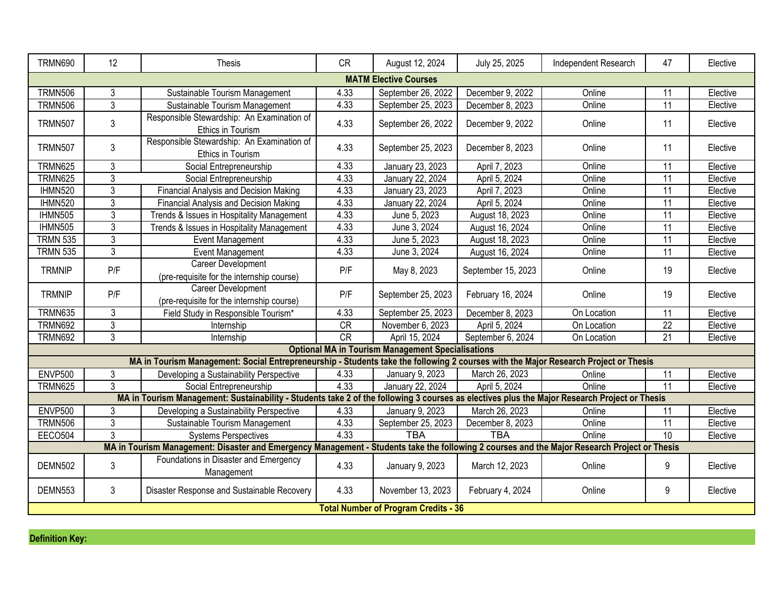| <b>TRMN690</b>               | 12             | Thesis                                                                                                                                       | <b>CR</b> | August 12, 2024                                          | July 25, 2025      | Independent Research | 47              | Elective |  |  |  |  |
|------------------------------|----------------|----------------------------------------------------------------------------------------------------------------------------------------------|-----------|----------------------------------------------------------|--------------------|----------------------|-----------------|----------|--|--|--|--|
|                              |                |                                                                                                                                              |           |                                                          |                    |                      |                 |          |  |  |  |  |
| <b>MATM Elective Courses</b> |                |                                                                                                                                              |           |                                                          |                    |                      |                 |          |  |  |  |  |
| <b>TRMN506</b>               | 3              | Sustainable Tourism Management                                                                                                               | 4.33      | September 26, 2022                                       | December 9, 2022   | Online               | 11              | Elective |  |  |  |  |
| <b>TRMN506</b>               | 3              | Sustainable Tourism Management                                                                                                               | 4.33      | September 25, 2023                                       | December 8, 2023   | Online               | 11              | Elective |  |  |  |  |
| <b>TRMN507</b>               | 3              | Responsible Stewardship: An Examination of<br>Ethics in Tourism                                                                              | 4.33      | September 26, 2022                                       | December 9, 2022   | Online               | 11              | Elective |  |  |  |  |
| <b>TRMN507</b>               | 3              | Responsible Stewardship: An Examination of<br>Ethics in Tourism                                                                              | 4.33      | September 25, 2023                                       | December 8, 2023   | Online               | 11              | Elective |  |  |  |  |
| <b>TRMN625</b>               | 3              | Social Entrepreneurship                                                                                                                      | 4.33      | January 23, 2023                                         | April 7, 2023      | Online               | 11              | Elective |  |  |  |  |
| <b>TRMN625</b>               | 3              | Social Entrepreneurship                                                                                                                      | 4.33      | January 22, 2024                                         | April 5, 2024      | Online               | 11              | Elective |  |  |  |  |
| IHMN520                      | 3              | Financial Analysis and Decision Making                                                                                                       | 4.33      | January 23, 2023                                         | April 7, 2023      | Online               | 11              | Elective |  |  |  |  |
| IHMN520                      | 3              | <b>Financial Analysis and Decision Making</b>                                                                                                | 4.33      | January 22, 2024                                         | April 5, 2024      | Online               | $\overline{11}$ | Elective |  |  |  |  |
| <b>IHMN505</b>               | $\overline{3}$ | Trends & Issues in Hospitality Management                                                                                                    | 4.33      | June 5, 2023                                             | August 18, 2023    | Online               | $\overline{11}$ | Elective |  |  |  |  |
| <b>IHMN505</b>               | 3              | Trends & Issues in Hospitality Management                                                                                                    | 4.33      | June 3, 2024                                             | August 16, 2024    | Online               | 11              | Elective |  |  |  |  |
| <b>TRMN 535</b>              | 3              | <b>Event Management</b>                                                                                                                      | 4.33      | June 5, 2023                                             | August 18, 2023    | Online               | $\overline{11}$ | Elective |  |  |  |  |
| <b>TRMN 535</b>              | 3              | <b>Event Management</b>                                                                                                                      | 4.33      | June 3, 2024                                             | August 16, 2024    | Online               | 11              | Elective |  |  |  |  |
| <b>TRMNIP</b>                | P/F            | Career Development<br>(pre-requisite for the internship course)                                                                              | P/F       | May 8, 2023                                              | September 15, 2023 | Online               | 19              | Elective |  |  |  |  |
| <b>TRMNIP</b>                | P/F            | Career Development<br>(pre-requisite for the internship course)                                                                              | P/F       | September 25, 2023                                       | February 16, 2024  | Online               | 19              | Elective |  |  |  |  |
| <b>TRMN635</b>               | 3              | Field Study in Responsible Tourism*                                                                                                          | 4.33      | September 25, 2023                                       | December 8, 2023   | On Location          | 11              | Elective |  |  |  |  |
| <b>TRMN692</b>               | $\mathfrak{Z}$ | Internship                                                                                                                                   | CR        | November 6, 2023                                         | April 5, 2024      | On Location          | $\overline{22}$ | Elective |  |  |  |  |
| <b>TRMN692</b>               | 3              | Internship                                                                                                                                   | CR        | April 15, 2024                                           | September 6, 2024  | On Location          | 21              | Elective |  |  |  |  |
|                              |                |                                                                                                                                              |           | <b>Optional MA in Tourism Management Specialisations</b> |                    |                      |                 |          |  |  |  |  |
|                              |                | MA in Tourism Management: Social Entrepreneurship - Students take the following 2 courses with the Major Research Project or Thesis          |           |                                                          |                    |                      |                 |          |  |  |  |  |
| <b>ENVP500</b>               | 3              | Developing a Sustainability Perspective                                                                                                      | 4.33      | January 9, 2023                                          | March 26, 2023     | Online               | 11              | Elective |  |  |  |  |
| <b>TRMN625</b>               | 3              | Social Entrepreneurship                                                                                                                      | 4.33      | January 22, 2024                                         | April 5, 2024      | Online               | 11              | Elective |  |  |  |  |
|                              |                | MA in Tourism Management: Sustainability - Students take 2 of the following 3 courses as electives plus the Major Research Project or Thesis |           |                                                          |                    |                      |                 |          |  |  |  |  |
| <b>ENVP500</b>               | 3              | Developing a Sustainability Perspective                                                                                                      | 4.33      | January 9, 2023                                          | March 26, 2023     | Online               | 11              | Elective |  |  |  |  |
| <b>TRMN506</b>               | 3              | Sustainable Tourism Management                                                                                                               | 4.33      | September 25, 2023                                       | December 8, 2023   | Online               | $\overline{11}$ | Elective |  |  |  |  |
| <b>EECO504</b>               | 3              | <b>Systems Perspectives</b>                                                                                                                  | 4.33      | <b>TBA</b>                                               | <b>TBA</b>         | Online               | $\overline{10}$ | Elective |  |  |  |  |
|                              |                | MA in Tourism Management: Disaster and Emergency Management - Students take the following 2 courses and the Major Research Project or Thesis |           |                                                          |                    |                      |                 |          |  |  |  |  |
| DEMN502                      | 3              | Foundations in Disaster and Emergency<br>Management                                                                                          | 4.33      | January 9, 2023                                          | March 12, 2023     | Online               | 9               | Elective |  |  |  |  |
| DEMN553                      | $\mathfrak{Z}$ | Disaster Response and Sustainable Recovery                                                                                                   | 4.33      | November 13, 2023                                        | February 4, 2024   | Online               | 9               | Elective |  |  |  |  |
|                              |                |                                                                                                                                              |           | <b>Total Number of Program Credits - 36</b>              |                    |                      |                 |          |  |  |  |  |

**Definition Key:**